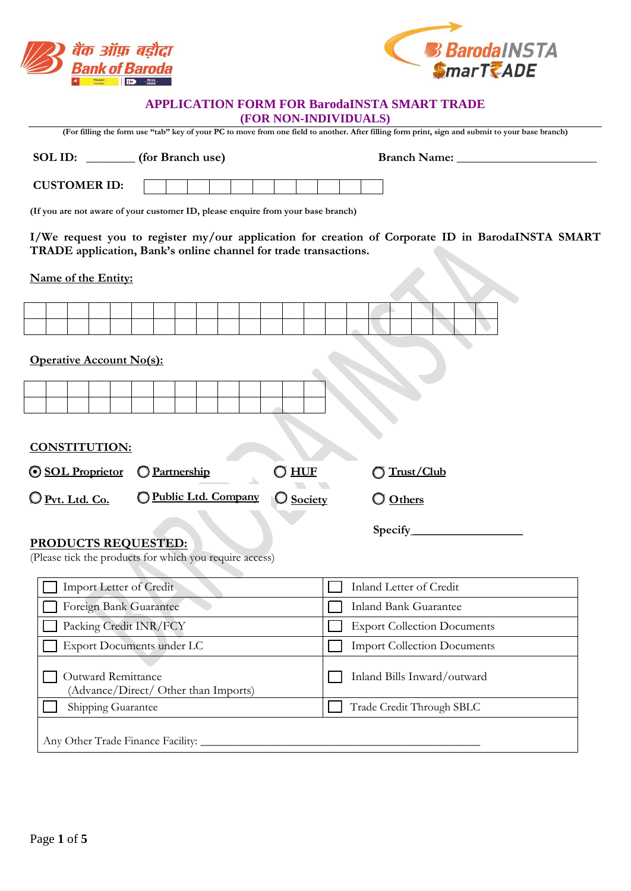



## **APPLICATION FORM FOR BarodaINSTA SMART TRADE**

**(FOR NON-INDIVIDUALS)** 

| (For filling the form use "tab" key of your PC to move from one field to another. After filling form print, sign and submit to your base branch)                      |                                                                                  |                                    |                         |  |
|-----------------------------------------------------------------------------------------------------------------------------------------------------------------------|----------------------------------------------------------------------------------|------------------------------------|-------------------------|--|
|                                                                                                                                                                       | SOL ID: _________ (for Branch use)                                               |                                    |                         |  |
| <b>CUSTOMER ID:</b>                                                                                                                                                   |                                                                                  |                                    |                         |  |
|                                                                                                                                                                       | (If you are not aware of your customer ID, please enquire from your base branch) |                                    |                         |  |
| I/We request you to register my/our application for creation of Corporate ID in BarodaINSTA SMART<br>TRADE application, Bank's online channel for trade transactions. |                                                                                  |                                    |                         |  |
| Name of the Entity:                                                                                                                                                   |                                                                                  |                                    |                         |  |
|                                                                                                                                                                       |                                                                                  |                                    |                         |  |
| <b>Operative Account No(s):</b>                                                                                                                                       |                                                                                  |                                    |                         |  |
|                                                                                                                                                                       |                                                                                  |                                    |                         |  |
|                                                                                                                                                                       |                                                                                  |                                    |                         |  |
| <b>CONSTITUTION:</b>                                                                                                                                                  |                                                                                  |                                    |                         |  |
| <b>SOL Proprietor</b>                                                                                                                                                 | O Partnership                                                                    | $\bigcirc$ huf                     | Trust/Club              |  |
| Public Ltd. Company<br>O Pvt. Ltd. Co.<br>O Society<br>O Others                                                                                                       |                                                                                  |                                    |                         |  |
|                                                                                                                                                                       |                                                                                  |                                    |                         |  |
| <b>PRODUCTS REQUESTED:</b><br>(Please tick the products for which you require access)                                                                                 |                                                                                  |                                    |                         |  |
| Import Letter of Credit                                                                                                                                               |                                                                                  |                                    | Inland Letter of Credit |  |
| Foreign Bank Guarantee                                                                                                                                                |                                                                                  | <b>Inland Bank Guarantee</b>       |                         |  |
| Packing Credit INR/FCY                                                                                                                                                |                                                                                  | <b>Export Collection Documents</b> |                         |  |
| <b>Export Documents under LC</b>                                                                                                                                      |                                                                                  | <b>Import Collection Documents</b> |                         |  |
| Outward Remittance<br>Inland Bills Inward/outward<br>(Advance/Direct/ Other than Imports)                                                                             |                                                                                  |                                    |                         |  |
| Shipping Guarantee<br>Trade Credit Through SBLC                                                                                                                       |                                                                                  |                                    |                         |  |
| Any Other Trade Finance Facility:                                                                                                                                     |                                                                                  |                                    |                         |  |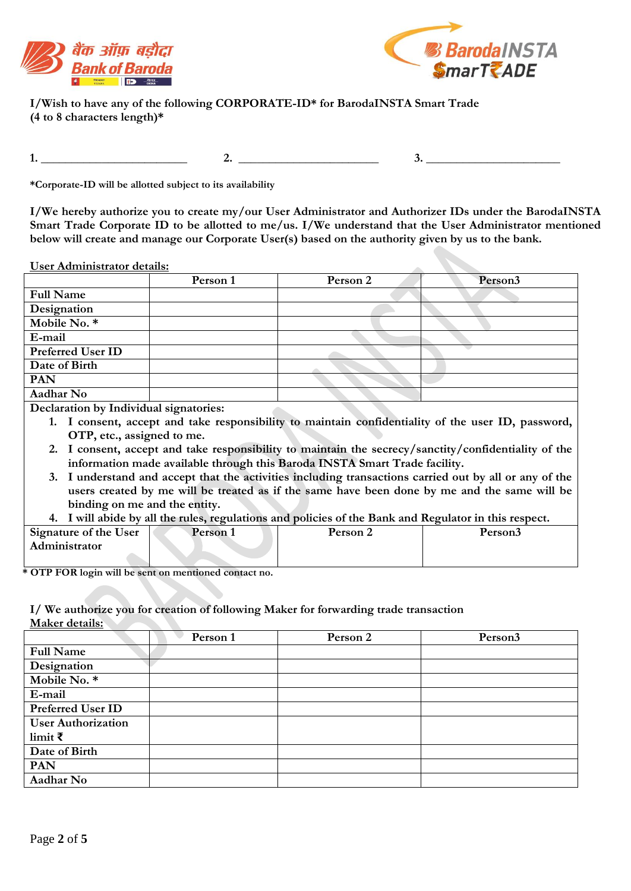



**I/Wish to have any of the following CORPORATE-ID\* for BarodaINSTA Smart Trade (4 to 8 characters length)\*** 

**1.** \_\_\_\_\_\_\_\_\_\_\_\_\_\_\_\_\_\_\_\_\_\_\_\_ **2.** \_\_\_**\_\_\_\_\_\_\_\_\_\_\_\_\_\_\_\_\_\_\_\_ 3. \_\_\_\_\_\_\_\_\_\_\_\_\_\_\_\_\_\_\_\_\_\_**

**\*Corporate-ID will be allotted subject to its availability** 

**I/We hereby authorize you to create my/our User Administrator and Authorizer IDs under the BarodaINSTA Smart Trade Corporate ID to be allotted to me/us. I/We understand that the User Administrator mentioned below will create and manage our Corporate User(s) based on the authority given by us to the bank.** 

**User Administrator details:** 

|                          | Person 1 | Person 2 | Person <sub>3</sub> |
|--------------------------|----------|----------|---------------------|
| <b>Full Name</b>         |          |          |                     |
| Designation              |          |          |                     |
| Mobile No. *             |          |          |                     |
| E-mail                   |          |          |                     |
| <b>Preferred User ID</b> |          |          |                     |
| Date of Birth            |          |          |                     |
| <b>PAN</b>               |          |          |                     |
| Aadhar No                |          |          |                     |
| ______________           | $\sim$   |          |                     |

**Declaration by Individual signatories:**

- **1. I consent, accept and take responsibility to maintain confidentiality of the user ID, password, OTP, etc., assigned to me.**
- **2. I consent, accept and take responsibility to maintain the secrecy/sanctity/confidentiality of the information made available through this Baroda INSTA Smart Trade facility.**
- **3. I understand and accept that the activities including transactions carried out by all or any of the users created by me will be treated as if the same have been done by me and the same will be binding on me and the entity.**
- **4. I will abide by all the rules, regulations and policies of the Bank and Regulator in this respect.**

| Signature of the User | Person 1 | Person 2 | <b>Person3</b> |
|-----------------------|----------|----------|----------------|
| Administrator         |          |          |                |
|                       |          |          |                |

**\* OTP FOR login will be sent on mentioned contact no.** 

**I/ We authorize you for creation of following Maker for forwarding trade transaction Maker details:** 

|                           | Person 1 | Person 2 | Person <sub>3</sub> |
|---------------------------|----------|----------|---------------------|
| <b>Full Name</b>          |          |          |                     |
| Designation               |          |          |                     |
| Mobile No. *              |          |          |                     |
| E-mail                    |          |          |                     |
| <b>Preferred User ID</b>  |          |          |                     |
| <b>User Authorization</b> |          |          |                     |
| limit $\bar{\tau}$        |          |          |                     |
| Date of Birth             |          |          |                     |
| <b>PAN</b>                |          |          |                     |
| Aadhar No                 |          |          |                     |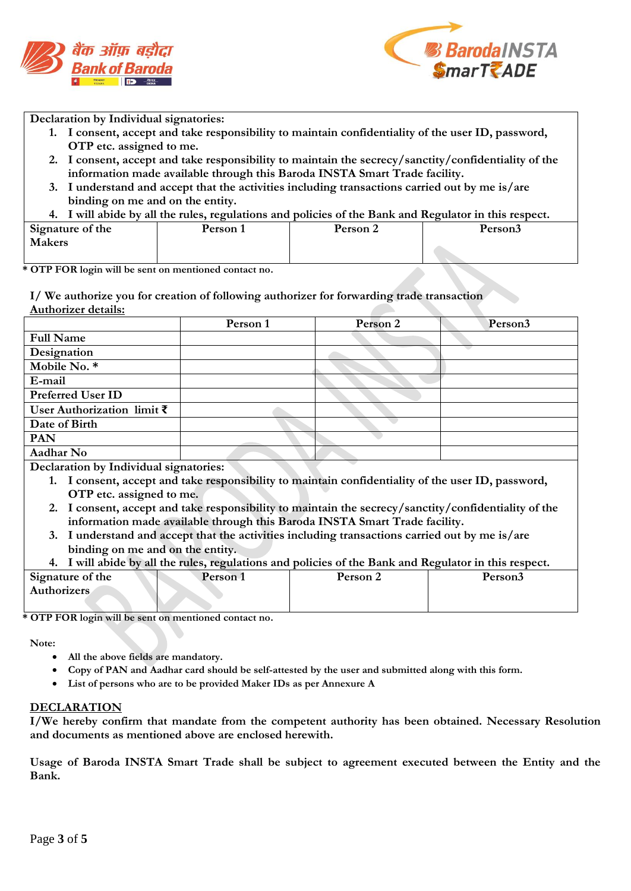



**Declaration by Individual signatories:**

- **1. I consent, accept and take responsibility to maintain confidentiality of the user ID, password, OTP etc. assigned to me.**
- **2. I consent, accept and take responsibility to maintain the secrecy/sanctity/confidentiality of the information made available through this Baroda INSTA Smart Trade facility.**
- **3. I understand and accept that the activities including transactions carried out by me is/are binding on me and on the entity.**
- **4. I will abide by all the rules, regulations and policies of the Bank and Regulator in this respect.**

| Signature of the | Person 1 | Person 2 | Person3 |
|------------------|----------|----------|---------|
| Makers           |          |          |         |

**\* OTP FOR login will be sent on mentioned contact no.** 

**I/ We authorize you for creation of following authorizer for forwarding trade transaction Authorizer details:** 

|                                                                                     | Person 1 | Person 2 | Person <sub>3</sub> |
|-------------------------------------------------------------------------------------|----------|----------|---------------------|
| <b>Full Name</b>                                                                    |          |          |                     |
| Designation                                                                         |          |          |                     |
| Mobile No. *                                                                        |          |          |                     |
| E-mail                                                                              |          |          |                     |
| <b>Preferred User ID</b>                                                            |          |          |                     |
| User Authorization limit $\bar{\zeta}$                                              |          |          |                     |
| Date of Birth                                                                       |          |          |                     |
| <b>PAN</b>                                                                          |          |          |                     |
| Aadhar No                                                                           |          |          |                     |
| $\mathbf{D}$ and a set of the fundamental state of a state of a set of $\mathbf{D}$ |          |          |                     |

**Declaration by Individual signatories:**

- **1. I consent, accept and take responsibility to maintain confidentiality of the user ID, password, OTP etc. assigned to me.**
- **2. I consent, accept and take responsibility to maintain the secrecy/sanctity/confidentiality of the information made available through this Baroda INSTA Smart Trade facility.**
- **3. I understand and accept that the activities including transactions carried out by me is/are binding on me and on the entity.**
- **4. I will abide by all the rules, regulations and policies of the Bank and Regulator in this respect.**

| Signature of the   | Person 1 | Person 2 | Person3 |
|--------------------|----------|----------|---------|
| <b>Authorizers</b> |          |          |         |
|                    |          |          |         |

**\* OTP FOR login will be sent on mentioned contact no.** 

**Note:** 

- **All the above fields are mandatory.**
- **Copy of PAN and Aadhar card should be self-attested by the user and submitted along with this form.**
- **List of persons who are to be provided Maker IDs as per Annexure A**

## **DECLARATION**

**I/We hereby confirm that mandate from the competent authority has been obtained. Necessary Resolution and documents as mentioned above are enclosed herewith.** 

**Usage of Baroda INSTA Smart Trade shall be subject to agreement executed between the Entity and the Bank.**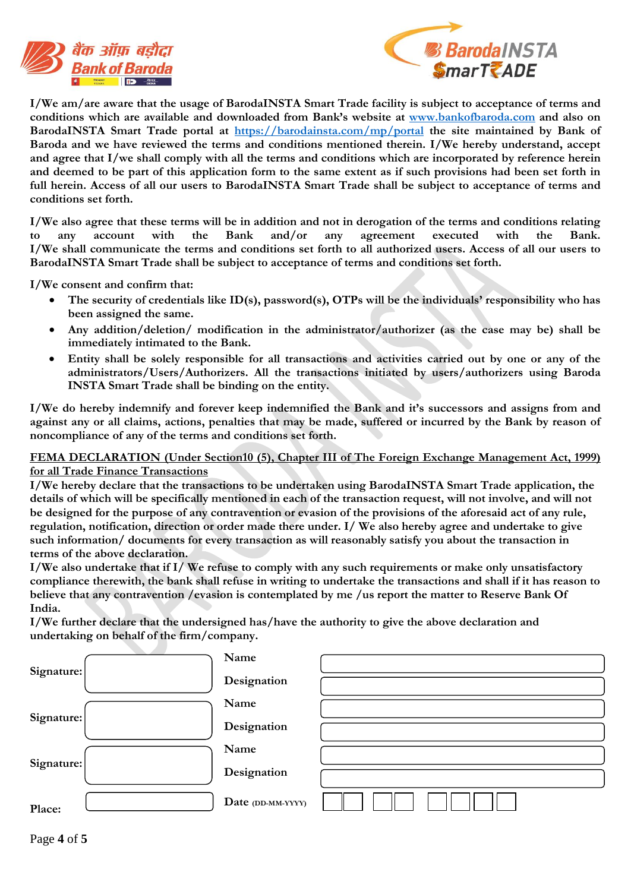



**I/We am/are aware that the usage of BarodaINSTA Smart Trade facility is subject to acceptance of terms and conditions which are available and downloaded from Bank's website at www.bankofbaroda.com and also on**  BarodaINSTA Smart Trade portal at https://barodainsta.com/mp/portal the site maintained by Bank of **Baroda and we have reviewed the terms and conditions mentioned therein. I/We hereby understand, accept and agree that I/we shall comply with all the terms and conditions which are incorporated by reference herein**  and deemed to be part of this application form to the same extent as if such provisions had been set forth in **full herein. Access of all our users to BarodaINSTA Smart Trade shall be subject to acceptance of terms and conditions set forth.**

**I/We also agree that these terms will be in addition and not in derogation of the terms and conditions relating to any account with the Bank and/or any agreement executed with the Bank. I/We shall communicate the terms and conditions set forth to all authorized users. Access of all our users to BarodaINSTA Smart Trade shall be subject to acceptance of terms and conditions set forth.** 

**I/We consent and confirm that:**

- **The security of credentials like ID(s), password(s), OTPs will be the individuals' responsibility who has been assigned the same.**
- **Any addition/deletion/ modification in the administrator/authorizer (as the case may be) shall be immediately intimated to the Bank.**
- **Entity shall be solely responsible for all transactions and activities carried out by one or any of the administrators/Users/Authorizers. All the transactions initiated by users/authorizers using Baroda INSTA Smart Trade shall be binding on the entity.**

**I/We do hereby indemnify and forever keep indemnified the Bank and it's successors and assigns from and against any or all claims, actions, penalties that may be made, suffered or incurred by the Bank by reason of noncompliance of any of the terms and conditions set forth.** 

## **FEMA DECLARATION (Under Section10 (5), Chapter III of The Foreign Exchange Management Act, 1999) for all Trade Finance Transactions**

**I/We hereby declare that the transactions to be undertaken using BarodaINSTA Smart Trade application, the**  details of which will be specifically mentioned in each of the transaction request, will not involve, and will not **be designed for the purpose of any contravention or evasion of the provisions of the aforesaid act of any rule, regulation, notification, direction or order made there under. I/ We also hereby agree and undertake to give such information/ documents for every transaction as will reasonably satisfy you about the transaction in terms of the above declaration.**

**I/We also undertake that if I/ We refuse to comply with any such requirements or make only unsatisfactory compliance therewith, the bank shall refuse in writing to undertake the transactions and shall if it has reason to believe that any contravention /evasion is contemplated by me /us report the matter to Reserve Bank Of India.**

**I/We further declare that the undersigned has/have the authority to give the above declaration and undertaking on behalf of the firm/company.**

|            | Name              |  |
|------------|-------------------|--|
| Signature: | Designation       |  |
|            | Name              |  |
| Signature: | Designation       |  |
|            | Name              |  |
| Signature: | Designation       |  |
| Place:     | Date (DD-MM-YYYY) |  |